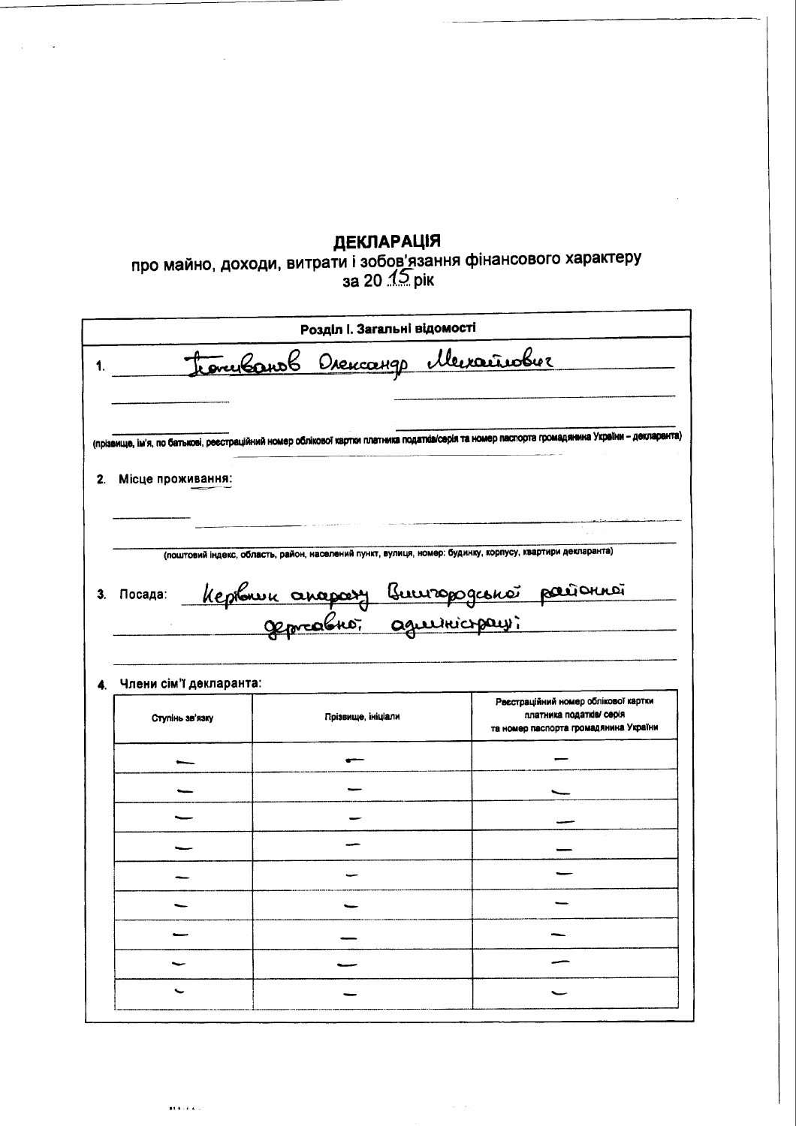декларація<br>про майно, доходи, витрати і зобов'язання фінансового характеру<br>за 20 1.2 рік

|                                            |                                                                                                                                                | Розділ І. Загальні відомості |  |                                                                                                           |
|--------------------------------------------|------------------------------------------------------------------------------------------------------------------------------------------------|------------------------------|--|-----------------------------------------------------------------------------------------------------------|
|                                            | tonubourb Drencango Mercañober                                                                                                                 |                              |  |                                                                                                           |
|                                            | (прізвище, ім'я, по батькові, реєстраційний номер облікової картки платника податків/серія та номер паспорта громадянина України – декларанта) |                              |  |                                                                                                           |
| Місце проживання:                          |                                                                                                                                                |                              |  |                                                                                                           |
|                                            |                                                                                                                                                |                              |  |                                                                                                           |
|                                            | (поштовий індекс, область, район, населений пункт, вулиця, номер: будинку, корпусу, квартири декларанта)                                       |                              |  |                                                                                                           |
| Посада:                                    |                                                                                                                                                |                              |  |                                                                                                           |
| Keplanic anapasy Buuropogconoi parionnoi   |                                                                                                                                                |                              |  |                                                                                                           |
|                                            |                                                                                                                                                |                              |  |                                                                                                           |
|                                            |                                                                                                                                                |                              |  |                                                                                                           |
|                                            |                                                                                                                                                |                              |  |                                                                                                           |
| Члени сім'ї декларанта:<br>Ступінь зв'язку | Прізвище, ініціали                                                                                                                             |                              |  | Ресстраційний номер облікової картки<br>платника податків/ серія<br>та номер паспорта громадянина України |
|                                            |                                                                                                                                                |                              |  |                                                                                                           |
|                                            |                                                                                                                                                |                              |  |                                                                                                           |
|                                            |                                                                                                                                                |                              |  |                                                                                                           |
|                                            |                                                                                                                                                |                              |  |                                                                                                           |
|                                            |                                                                                                                                                |                              |  |                                                                                                           |
|                                            |                                                                                                                                                |                              |  |                                                                                                           |
|                                            |                                                                                                                                                |                              |  |                                                                                                           |
|                                            |                                                                                                                                                |                              |  |                                                                                                           |

 $\hat{z} = \hat{z}$  .

 $\mathbf{r}$  ,  $\mathbf{r}$  ,  $\mathbf{r}$  ,  $\mathbf{r}$  ,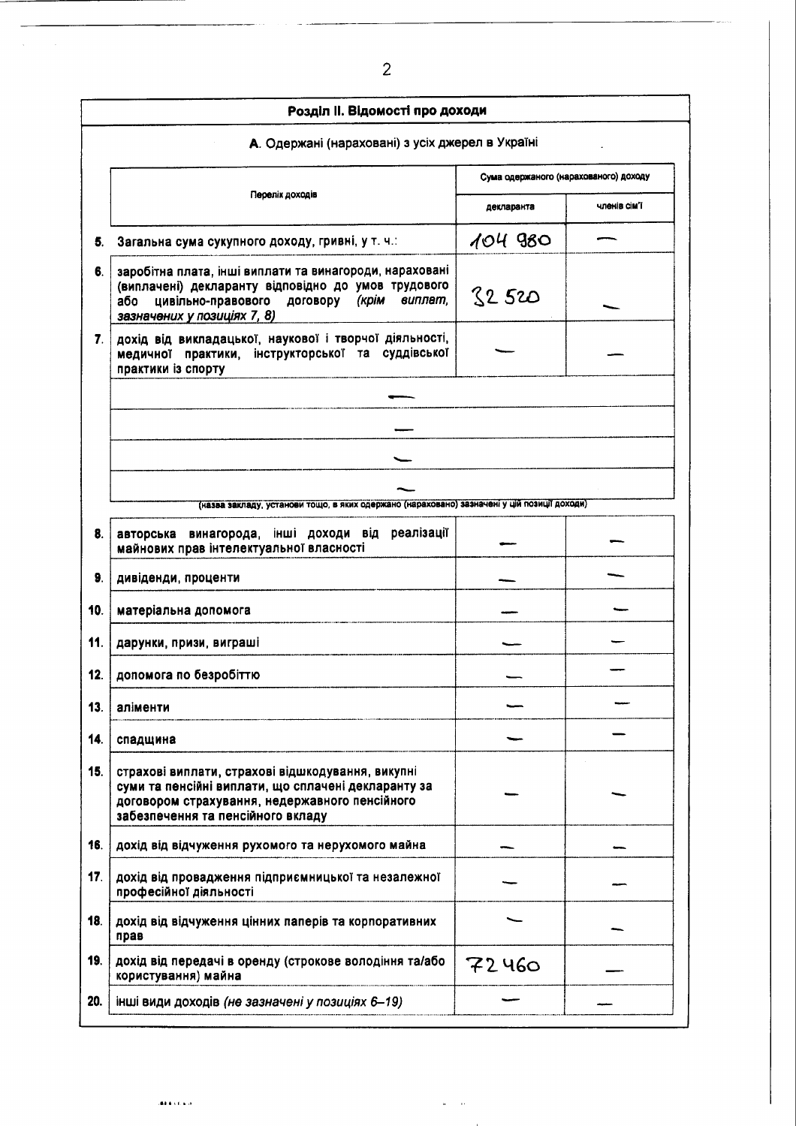|     | Розділ II. Відомості про доходи                                                                                                                                                                         |                                       |              |  |
|-----|---------------------------------------------------------------------------------------------------------------------------------------------------------------------------------------------------------|---------------------------------------|--------------|--|
|     | А. Одержані (нараховані) з усіх джерел в Україні                                                                                                                                                        |                                       |              |  |
|     |                                                                                                                                                                                                         | Сума одержаного (нарахованого) доходу |              |  |
|     | Перелік доходів                                                                                                                                                                                         | декларанта                            | членів сім'ї |  |
| 5.  | Загальна сума сукупного доходу, гривні, у т. ч.:                                                                                                                                                        | 104980                                |              |  |
| 6.  | заробітна плата, інші виплати та винагороди, нараховані<br>(виплачені) декларанту відповідно до умов трудового<br>цивільно-правового договору<br>(крім<br>виплат,<br>або<br>зазначених у позиціях 7, 8) | 82520                                 |              |  |
| 7.  | дохід від викладацької, наукової і творчої діяльності,<br>медичної практики, інструкторської та суддівської<br>практики із спорту                                                                       |                                       |              |  |
|     |                                                                                                                                                                                                         |                                       |              |  |
|     |                                                                                                                                                                                                         |                                       |              |  |
|     |                                                                                                                                                                                                         |                                       |              |  |
|     |                                                                                                                                                                                                         |                                       |              |  |
|     | (назва закладу, установи тощо, в яких одержано (нараховано) зазначені у цій позиції доходи)                                                                                                             |                                       |              |  |
| 8.  | реалізації<br>авторська винагорода, інші доходи<br>від<br>майнових прав інтелектуальної власності                                                                                                       |                                       |              |  |
| 9.  | дивіденди, проценти                                                                                                                                                                                     |                                       |              |  |
| 10. | матеріальна допомога                                                                                                                                                                                    |                                       |              |  |
| 11. | дарунки, призи, виграші                                                                                                                                                                                 |                                       |              |  |
| 12. | допомога по безробіттю                                                                                                                                                                                  |                                       |              |  |
| 13. | аліменти                                                                                                                                                                                                |                                       |              |  |
| 14. | спадщина                                                                                                                                                                                                |                                       |              |  |
| 15. | страхові виплати, страхові відшкодування, викупні<br>суми та пенсійні виплати, що сплачені декларанту за<br>договором страхування, недержавного пенсійного<br>забезпечення та пенсійного вкладу         |                                       |              |  |
| 16. | дохід від відчуження рухомого та нерухомого майна                                                                                                                                                       |                                       |              |  |
| 17. | дохід від провадження підприємницької та незалежної<br>професійної діяльності                                                                                                                           |                                       |              |  |
| 18. | дохід від відчуження цінних паперів та корпоративних<br>прав                                                                                                                                            |                                       |              |  |
| 19. | дохід від передачі в оренду (строкове володіння та/або<br>користування) майна                                                                                                                           | 72460                                 |              |  |
| 20. | інші види доходів (не зазначені у позиціях 6-19)                                                                                                                                                        |                                       |              |  |

 $\hat{\theta}$  $\ddot{\phantom{a}}$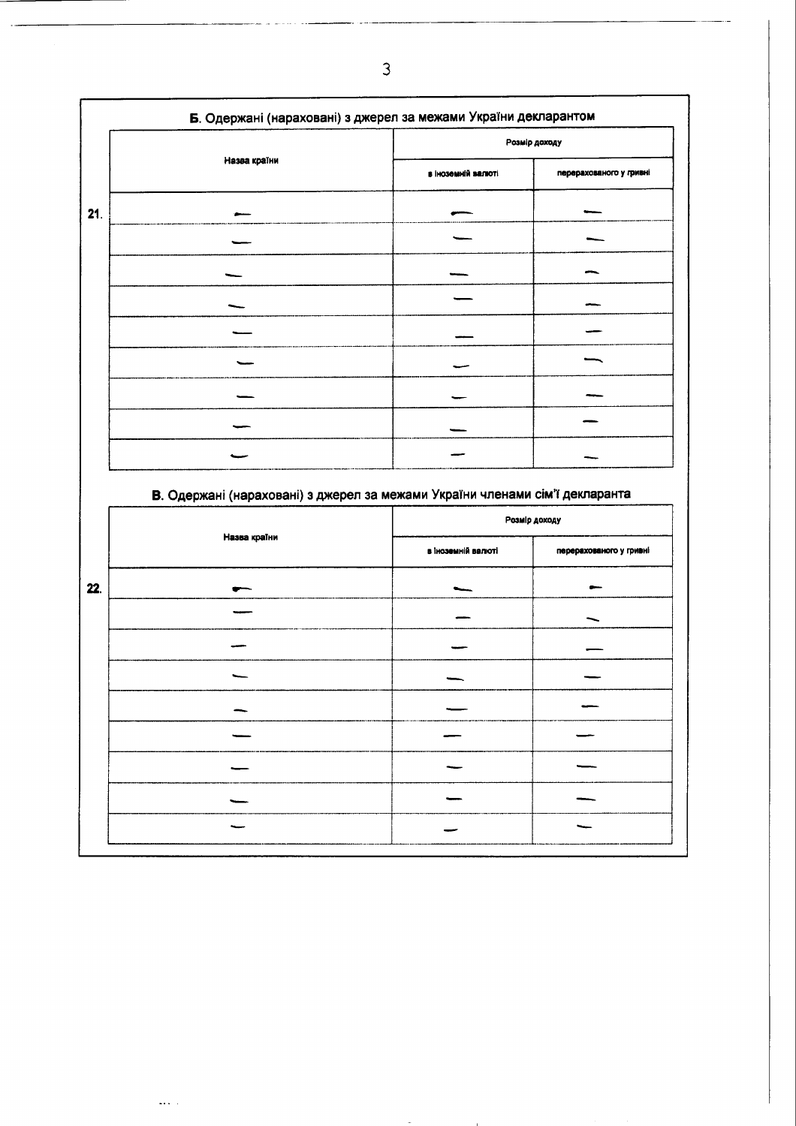|     | Б. Одержані (нараховані) з джерел за межами України декларантом |                    |                         |  |
|-----|-----------------------------------------------------------------|--------------------|-------------------------|--|
|     |                                                                 |                    | Розмір доходу           |  |
|     | Назва країни                                                    | в іноземній валюті | перерахованого у гривні |  |
| 21. |                                                                 |                    |                         |  |
|     |                                                                 |                    |                         |  |
|     |                                                                 |                    |                         |  |
|     |                                                                 |                    |                         |  |
|     |                                                                 |                    |                         |  |
|     |                                                                 |                    |                         |  |
|     |                                                                 |                    |                         |  |
|     |                                                                 |                    |                         |  |
|     |                                                                 |                    |                         |  |

## В. Одержані (нараховані) з джерел за межами України членами сім'ї декларанта

 $\overline{\phantom{a}}$ 

 $\omega$  .  $\omega$ 

| Розмір доходу      |                         |
|--------------------|-------------------------|
| в іноземній валюті | перерахованого у гривні |
|                    |                         |
|                    |                         |
|                    |                         |
|                    |                         |
|                    |                         |
|                    |                         |
|                    |                         |
|                    |                         |
|                    |                         |
| Назва країни       |                         |

 $\overline{3}$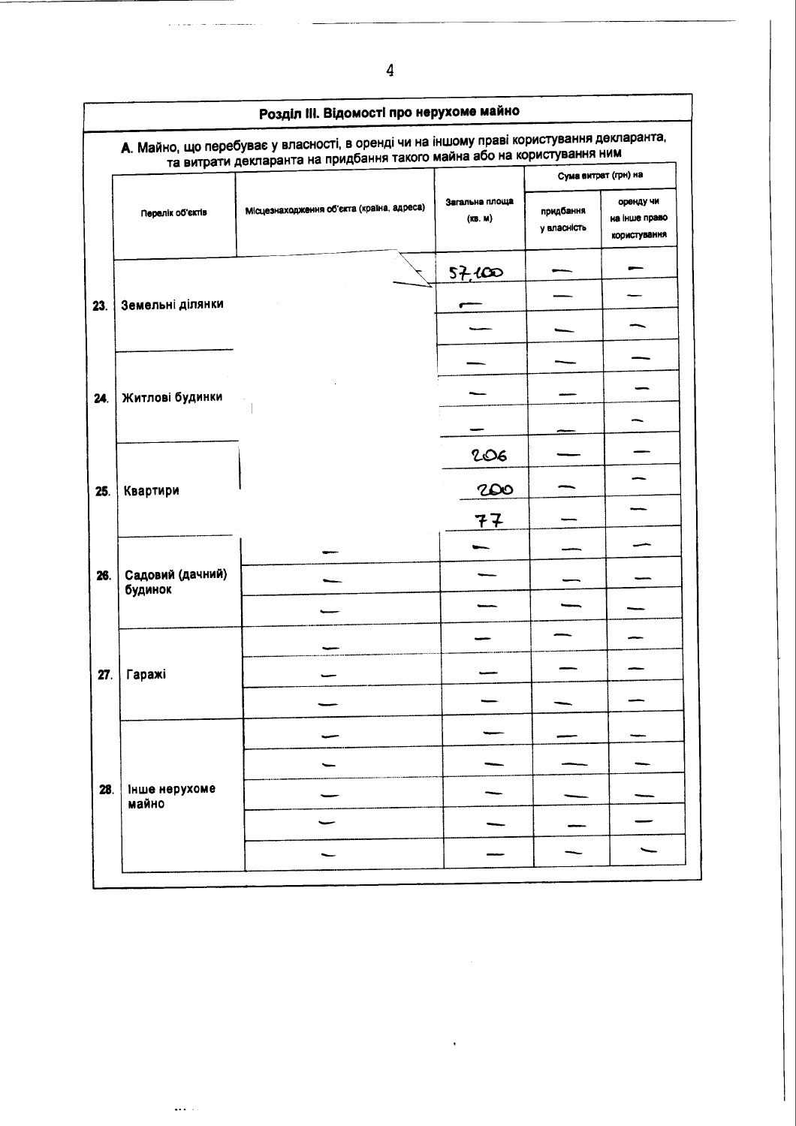| Розділ III. Відомості про нерухоме майно |                             |                                                                                                                                                                     |                           |                          |                                            |  |
|------------------------------------------|-----------------------------|---------------------------------------------------------------------------------------------------------------------------------------------------------------------|---------------------------|--------------------------|--------------------------------------------|--|
|                                          |                             | А. Майно, що перебуває у власності, в оренді чи на іншому праві користування декларанта,<br>та витрати декларанта на придбання такого майна або на користування ним |                           |                          |                                            |  |
|                                          |                             |                                                                                                                                                                     |                           | Сума витрат (грн) на     |                                            |  |
|                                          | Перелік об'єктів            | Місцезнаходження об'єкта (країна, адреса)                                                                                                                           | Загальна площа<br>(KB. M) | придбання<br>у власність | оренду чи<br>на інше право<br>користування |  |
|                                          |                             |                                                                                                                                                                     | 57,000                    |                          |                                            |  |
| 23.                                      | Земельні ділянки            |                                                                                                                                                                     |                           |                          |                                            |  |
|                                          |                             |                                                                                                                                                                     |                           |                          |                                            |  |
|                                          |                             |                                                                                                                                                                     |                           |                          |                                            |  |
| 24.                                      | Житлові будинки             |                                                                                                                                                                     |                           |                          |                                            |  |
|                                          |                             |                                                                                                                                                                     |                           |                          |                                            |  |
|                                          |                             |                                                                                                                                                                     | 206                       |                          |                                            |  |
| 25.                                      | Квартири                    |                                                                                                                                                                     | 200                       |                          |                                            |  |
|                                          |                             |                                                                                                                                                                     | 77                        |                          |                                            |  |
|                                          |                             |                                                                                                                                                                     |                           |                          |                                            |  |
| 26.                                      | Садовий (дачний)<br>будинок |                                                                                                                                                                     |                           |                          |                                            |  |
|                                          |                             |                                                                                                                                                                     |                           |                          |                                            |  |
|                                          |                             |                                                                                                                                                                     |                           |                          |                                            |  |
| 27.                                      | Гаражі                      |                                                                                                                                                                     |                           |                          |                                            |  |
|                                          |                             |                                                                                                                                                                     |                           |                          |                                            |  |
|                                          |                             |                                                                                                                                                                     |                           |                          |                                            |  |
|                                          |                             |                                                                                                                                                                     |                           |                          |                                            |  |
| 28.                                      | інше нерухоме<br>майно      |                                                                                                                                                                     |                           |                          |                                            |  |
|                                          |                             |                                                                                                                                                                     |                           |                          |                                            |  |
|                                          |                             |                                                                                                                                                                     |                           |                          |                                            |  |

 $\ldots$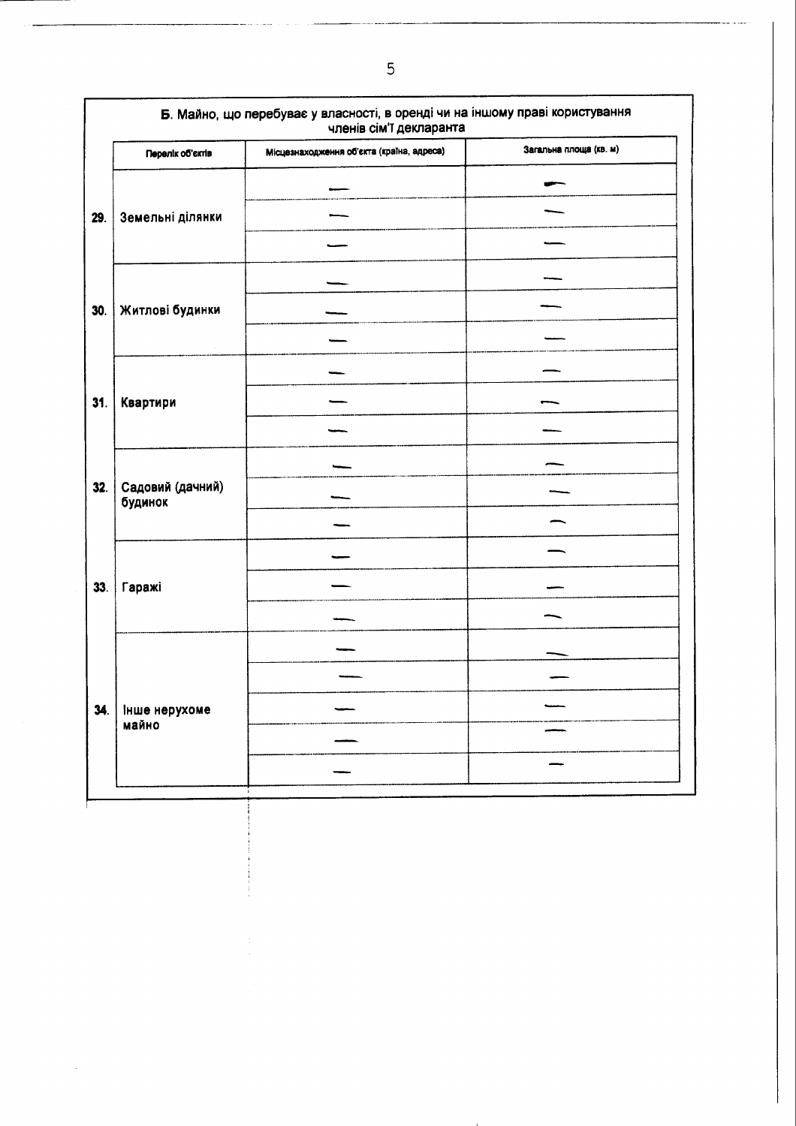| Перелік об'єктів            | Місцезнаходження об'єкта (країна, адреса) | Загальна площа (кв. м) |
|-----------------------------|-------------------------------------------|------------------------|
|                             |                                           |                        |
| Земельні ділянки            |                                           |                        |
|                             |                                           |                        |
|                             |                                           |                        |
| Житлові будинки             |                                           |                        |
|                             |                                           |                        |
|                             |                                           |                        |
| Квартири                    |                                           |                        |
|                             |                                           |                        |
|                             |                                           |                        |
| Садовий (дачний)<br>будинок |                                           |                        |
|                             |                                           |                        |
|                             |                                           |                        |
| Гаражі                      |                                           |                        |
|                             |                                           |                        |
|                             |                                           |                        |
|                             |                                           |                        |
| ∣ інше нерухоме             |                                           |                        |
| майно                       |                                           |                        |
|                             |                                           |                        |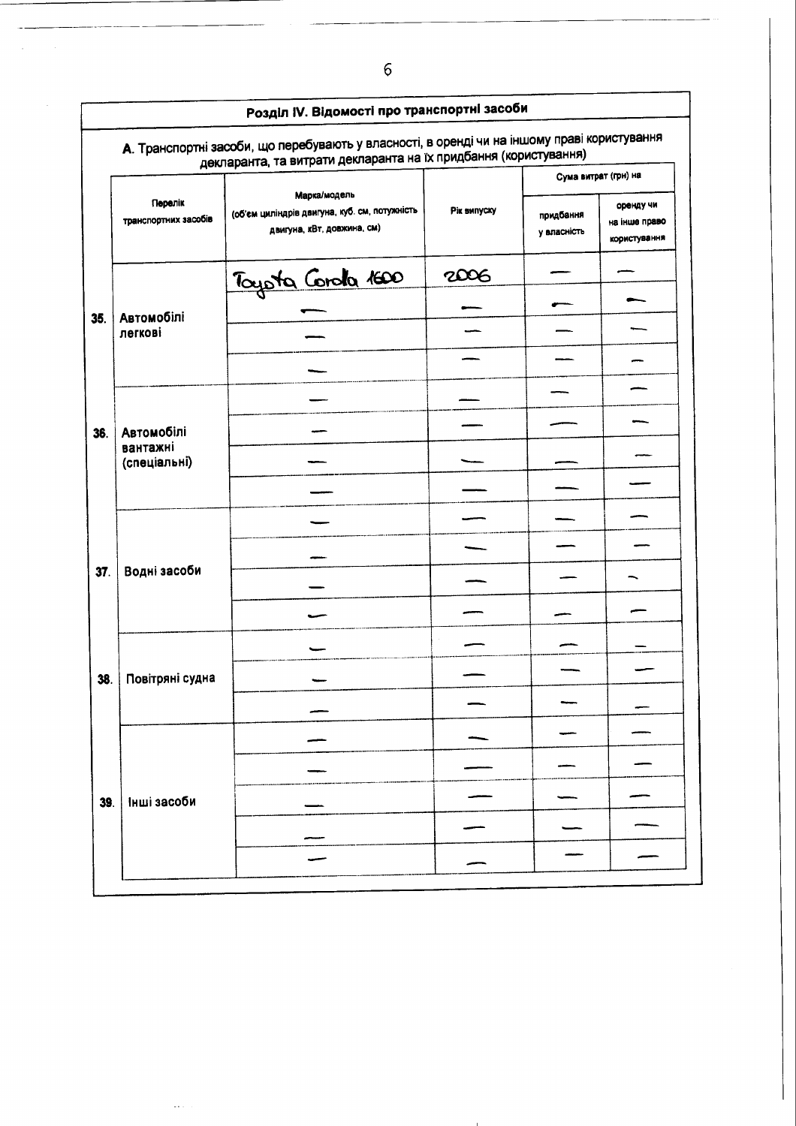|     |                                 | А. Транспортні засоби, що перебувають у власності, в оренді чи на іншому праві користування<br>декларанта, та витрати декларанта на їх придбання (користування) |             |                          |                                            |
|-----|---------------------------------|-----------------------------------------------------------------------------------------------------------------------------------------------------------------|-------------|--------------------------|--------------------------------------------|
|     |                                 |                                                                                                                                                                 |             |                          | Сума витрат (грн) на                       |
|     | Перелік<br>транспортних засобів | Марка/модель<br>(об'єм циліндрів двигуна, куб. см, потужність<br>двигуна, кВт, довжина, см)                                                                     | Рік випуску | придбання<br>у власність | оренду чи<br>на інше право<br>користування |
|     |                                 | Tayota Corola 1600                                                                                                                                              | 2006        |                          |                                            |
|     |                                 |                                                                                                                                                                 |             |                          |                                            |
| 35. | <b>Автомобілі</b><br>легкові    |                                                                                                                                                                 |             |                          |                                            |
|     |                                 |                                                                                                                                                                 |             |                          |                                            |
|     |                                 |                                                                                                                                                                 |             |                          |                                            |
| 36. | Автомобілі                      |                                                                                                                                                                 |             |                          |                                            |
|     | вантажні<br>(спеціальні)        |                                                                                                                                                                 |             |                          |                                            |
|     |                                 |                                                                                                                                                                 |             |                          |                                            |
|     |                                 |                                                                                                                                                                 |             |                          |                                            |
|     |                                 |                                                                                                                                                                 |             |                          |                                            |
| 37. | Водні засоби                    |                                                                                                                                                                 |             |                          |                                            |
|     |                                 |                                                                                                                                                                 |             |                          |                                            |
|     |                                 |                                                                                                                                                                 |             |                          |                                            |
| 38. | Повітряні судна                 |                                                                                                                                                                 |             |                          |                                            |
|     |                                 |                                                                                                                                                                 |             |                          |                                            |
|     |                                 |                                                                                                                                                                 |             |                          |                                            |
|     |                                 |                                                                                                                                                                 |             |                          |                                            |
| 39. | Інші засоби                     |                                                                                                                                                                 |             |                          |                                            |
|     |                                 |                                                                                                                                                                 |             |                          |                                            |
|     |                                 |                                                                                                                                                                 |             |                          |                                            |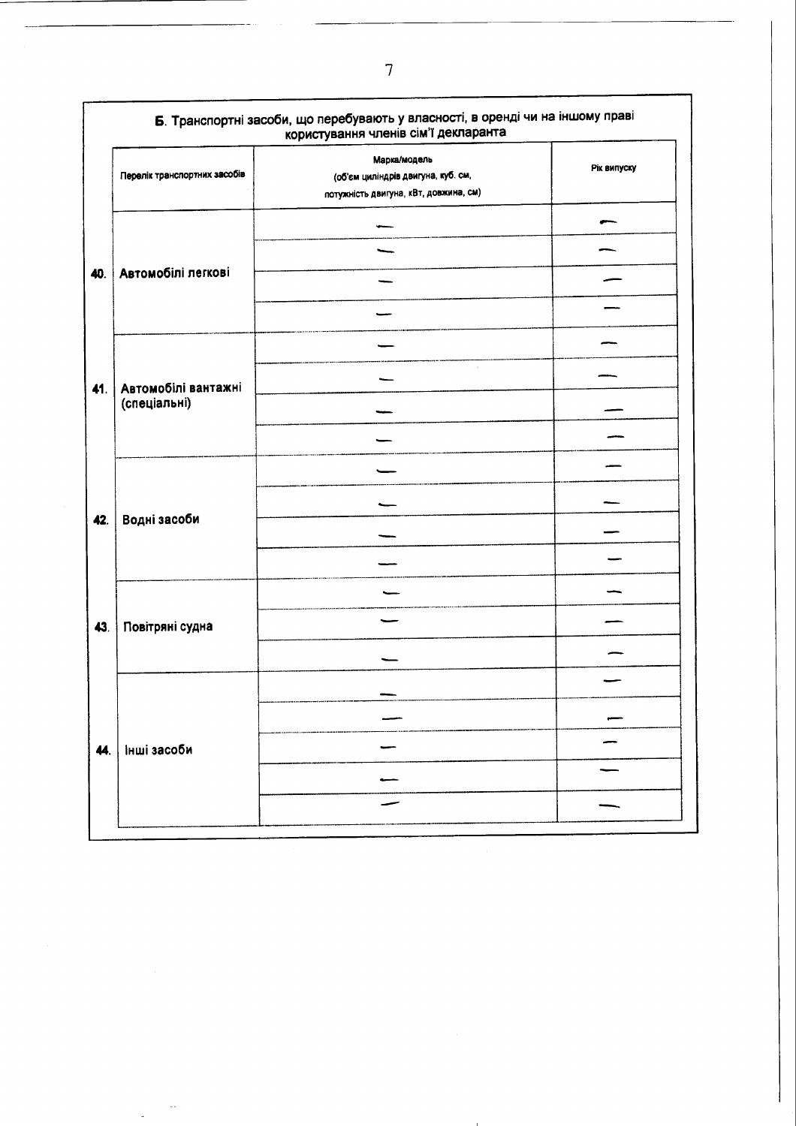| Перелік транспортних засобів | Марка/модель<br>(об'єм циліндрів двигуна, куб. см, | Рік випуску |
|------------------------------|----------------------------------------------------|-------------|
|                              | потужність двигуна, кВт, довжина, см)              |             |
|                              |                                                    |             |
|                              |                                                    |             |
| Автомобілі легкові           |                                                    |             |
|                              |                                                    |             |
|                              |                                                    |             |
| Автомобілі вантажні          |                                                    |             |
| (спеціальні)                 |                                                    |             |
|                              |                                                    |             |
|                              |                                                    |             |
|                              |                                                    |             |
| Водні засоби                 |                                                    |             |
|                              |                                                    |             |
|                              |                                                    |             |
| Повітряні судна              |                                                    |             |
|                              |                                                    |             |
|                              |                                                    |             |
|                              |                                                    |             |
| Інші засоби                  |                                                    |             |
|                              |                                                    |             |
|                              |                                                    |             |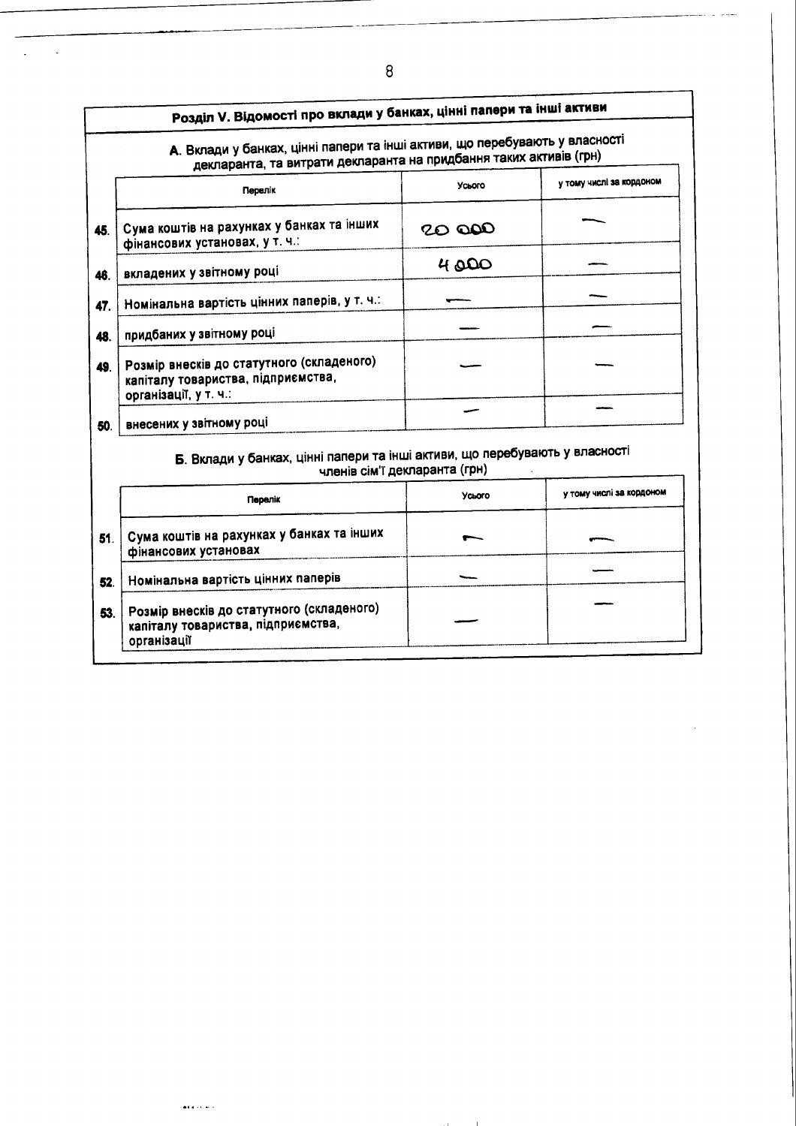| Розділ V. Відомості про вклади у банках, цінні папери та інші активи                                                                              |                               |                          |  |  |
|---------------------------------------------------------------------------------------------------------------------------------------------------|-------------------------------|--------------------------|--|--|
| А. Вклади у банках, цінні папери та інші активи, що перебувають у власності<br>декларанта, та витрати декларанта на придбання таких активів (грн) |                               |                          |  |  |
| Перелік                                                                                                                                           | Усього                        | у тому числі за кордоном |  |  |
| Сума коштів на рахунках у банках та інших<br>фінансових установах, у т. ч.:                                                                       | 20 OOO                        |                          |  |  |
| вкладених у звітному році                                                                                                                         | 4000                          |                          |  |  |
| Номінальна вартість цінних паперів, у т. ч.:                                                                                                      |                               |                          |  |  |
| придбаних у звітному році                                                                                                                         |                               |                          |  |  |
| Розмір внесків до статутного (складеного)<br>капіталу товариства, підприємства,<br>організації, у т. ч.:                                          |                               |                          |  |  |
| внесених у звітному році                                                                                                                          |                               |                          |  |  |
| Б. Вклади у банках, цінні папери та інші активи, що перебувають у власності                                                                       | членів сім'ї декларанта (грн) |                          |  |  |
| Перелік                                                                                                                                           | <b>Усього</b>                 | у тому числі за кордоном |  |  |

 $\bullet$ 

 $\sim$  1

**Carlos** 

Сума коштів на рахунках у банках та інших<br>фінансових установах

Розмір внесків до статутного (складеного)<br>капіталу товариства, підприємства,<br>організації

Номінальна вартість цінних паперів

أستمانا ومقالة

 $\bar{\beta}$ 

51.

52.

53.

 $\ddot{\phantom{a}}$